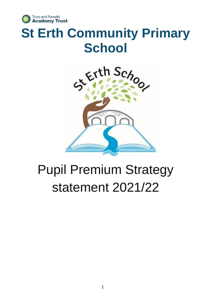

# **St Erth Community Primary School**



# Pupil Premium Strategy statement 2021/22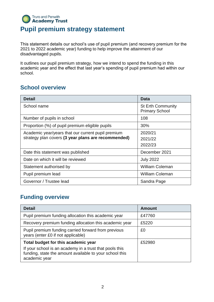#### **Truro and Penwith Academy Trust Pupil premium strategy statement**

This statement details our school's use of pupil premium (and recovery premium for the 2021 to 2022 academic year) funding to help improve the attainment of our disadvantaged pupils.

It outlines our pupil premium strategy, how we intend to spend the funding in this academic year and the effect that last year's spending of pupil premium had within our school.

#### **School overview**

| <b>Detail</b>                                       | <b>Data</b>                                       |
|-----------------------------------------------------|---------------------------------------------------|
| School name                                         | <b>St Erth Community</b><br><b>Primary School</b> |
| Number of pupils in school                          | 108                                               |
| Proportion (%) of pupil premium eligible pupils     | 30%                                               |
| Academic year/years that our current pupil premium  | 2020/21                                           |
| strategy plan covers (3 year plans are recommended) | 2021/22                                           |
|                                                     | 2022/23                                           |
| Date this statement was published                   | December 2021                                     |
| Date on which it will be reviewed                   | <b>July 2022</b>                                  |
| Statement authorised by                             | <b>William Coleman</b>                            |
| Pupil premium lead                                  | <b>William Coleman</b>                            |
| Governor / Trustee lead                             | Sandra Page                                       |

#### **Funding overview**

| <b>Detail</b>                                                                                                                       | <b>Amount</b> |
|-------------------------------------------------------------------------------------------------------------------------------------|---------------|
| Pupil premium funding allocation this academic year                                                                                 | £47760        |
| Recovery premium funding allocation this academic year                                                                              | £5220         |
| Pupil premium funding carried forward from previous<br>years (enter £0 if not applicable)                                           | £0            |
| Total budget for this academic year                                                                                                 | £52980        |
| If your school is an academy in a trust that pools this<br>funding, state the amount available to your school this<br>academic year |               |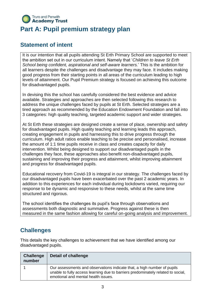

## **Part A: Pupil premium strategy plan**

#### **Statement of intent**

It is our intention that all pupils attending St Erth Primary School are supported to meet the ambition set out in our curriculum intent. Namely that '*Children to leave St Erth School being confident, aspirational and self-aware learners.*' This is the ambition for all learners despite the challenges and disadvantage they may face. It includes making good progress from their starting points in all areas of the curriculum leading to high levels of attainment. Our Pupil Premium strategy is focused on achieving this outcome for disadvantaged pupils.

In devising this the school has carefully considered the best evidence and advice available. Strategies and approaches are then selected following this research to address the unique challenges faced by pupils at St Erth. Selected strategies are a tired approach as recommended by the Education Endowment Foundation and fall into 3 categories: high quality teaching, targeted academic support and wider strategies.

At St Erth these strategies are designed create a sense of place, ownership and safety for disadvantaged pupils. High quality teaching and learning leads this approach, creating engagement in pupils and harnessing this to drive progress through the curriculum. High adult ratios enable teaching to be precise and personalised, increase the amount of 1:1 time pupils receive in class and creates capacity for daily intervention. Whilst being designed to support our disadvantaged pupils in the challenges they face, these approaches also benefit non-disadvantaged pupils, sustaining and improving their progress and attainment, whilst improving attainment and progress for disadvantaged pupils.

Educational recovery from Covid-19 is integral in our strategy. The challenges faced by our disadvantaged pupils have been exacerbated over the past 2 academic years. In addition to this experiences for each individual during lockdowns varied, requiring our response to be dynamic and responsive to these needs, whilst at the same time structured and rigorous.

The school identifies the challenges its pupil's face through observations and assessments both diagnostic and summative. Progress against these is then measured in the same fashion allowing for careful on-going analysis and improvement.

### **Challenges**

This details the key challenges to achievement that we have identified among our disadvantaged pupils.

| <b>Challenge</b><br>number | Detail of challenge                                                                                                                                                                                |
|----------------------------|----------------------------------------------------------------------------------------------------------------------------------------------------------------------------------------------------|
|                            | Our assessments and observations indicate that, a high number of pupils<br>unable to fully access learning due to barriers predominately related to social,<br>emotional and mental health issues. |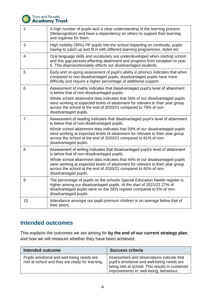

# **Truro and Penwith<br>Academy Trust**

| $\overline{2}$ | A high number of pupils lack a clear understanding of the learning process<br>(Metacognition) and have a dependency on others to support their learning<br>and organise for them.                                                                         |
|----------------|-----------------------------------------------------------------------------------------------------------------------------------------------------------------------------------------------------------------------------------------------------------|
| 3              | High mobility (30%) PP pupils into the school impacting on continuity, pupils<br>having to catch up and fit in with different learning programmes, styles etc                                                                                             |
| 4              | Oral language skills and vocabulary are underdeveloped when starting school<br>and this gap persists effecting attainment and progress from reception to year<br>6. This disproportionately effects our disadvantaged students.                           |
| 5              | Early and on-going assessment of pupil's ability in phonics indicates that when<br>compared to non-disadvantaged pupils, disadvantaged pupils have more<br>difficulty and require a higher percentage of additional support.                              |
| 6              | Assessment of maths indicates that disadvantaged pupil's level of attainment<br>is below that of non-disadvantaged pupils.                                                                                                                                |
|                | Whole school attainment data indicates that 56% of our disadvantaged pupils<br>were working at expected levels of attainment for relevant to their year group<br>across the school at the end of 2020/21 compared to 79% of non-<br>disadvantaged pupils. |
| $\overline{7}$ | Assessment of reading indicates that disadvantaged pupil's level of attainment<br>is below that of non-disadvantaged pupils.                                                                                                                              |
|                | Whole school attainment data indicates that 59% of our disadvantaged pupils<br>were working at expected levels of attainment for relevant to their year group<br>across the school at the end of 2020/21 compared to 81% of non-<br>disadvantaged pupils. |
| 8              | Assessment of writing indicates that disadvantaged pupil's level of attainment<br>is below that of non-disadvantaged pupils.                                                                                                                              |
|                | Whole school attainment data indicates that 44% of our disadvantaged pupils<br>were working at expected levels of attainment for relevant to their year group<br>across the school at the end of 2020/21 compared to 65% of non-<br>disadvantaged pupils. |
| 9              | The percentage of pupils on the schools Special Education Needs register is<br>higher among our disadvantaged pupils. At the start of 2021/22 27% of<br>disadvantaged pupils were on the SEN register compared to 8% of non-<br>disadvantaged pupils.     |
| 10             | Attendance amongst our pupil premium children is on average below that of<br>their peers.                                                                                                                                                                 |

#### **Intended outcomes**

This explains the outcomes we are aiming for **by the end of our current strategy plan**, and how we will measure whether they have been achieved.

| Intended outcome                                                                            | <b>Success criteria</b>                                                                                                                                                              |
|---------------------------------------------------------------------------------------------|--------------------------------------------------------------------------------------------------------------------------------------------------------------------------------------|
| Pupils emotional and well-being needs are<br>met at school and they are ready for learning. | Assessment and observations indicate that<br>pupil's emotional and well-being needs are<br>being met at school. This results in sustained<br>improvements in: well-being, behaviour, |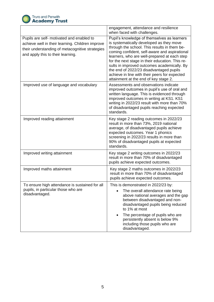

|                                                                                                                                                                                       | engagement, attendance and resilience<br>when faced with challenges.                                                                                                                                                                                                                                                                                                                                                                                                            |
|---------------------------------------------------------------------------------------------------------------------------------------------------------------------------------------|---------------------------------------------------------------------------------------------------------------------------------------------------------------------------------------------------------------------------------------------------------------------------------------------------------------------------------------------------------------------------------------------------------------------------------------------------------------------------------|
| Pupils are self- motivated and enabled to<br>achieve well in their learning. Children improve<br>their understanding of metacognitive strategies<br>and apply this to their learning. | Pupil's knowledge of themselves as learners<br>is systematically developed as they move<br>through the school. This results in them be-<br>coming confident, self-aware and aspirational<br>learners, who are well-prepared at each step<br>for the next stage in their education. This re-<br>sults in improved outcomes academically. By<br>the end of 2022/23 disadvantaged pupils<br>achieve in line with their peers for expected<br>attainment at the end of key stage 2. |
| Improved use of language and vocabulary                                                                                                                                               | Assessments and observations indicate<br>improved outcomes in pupil's use of oral and<br>written language. This is evidenced through<br>improved outcomes in writing at KS1. KS1<br>writing in 2022/23 result with more than 70%<br>of disadvantaged pupils reaching expected<br>standards.                                                                                                                                                                                     |
| Improved reading attainment                                                                                                                                                           | Key stage 2 reading outcomes in 2022/23<br>result in more than 73%, 2019 national<br>average, of disadvantaged pupils achieve<br>expected outcomes. Year 1 phonics<br>screening in 2022/23 results in more than<br>90% of disadvantaged pupils at expected<br>standards.                                                                                                                                                                                                        |
| Improved writing attainment                                                                                                                                                           | Key stage 2 writing outcomes in 2022/23<br>result in more than 70% of disadvantaged<br>pupils achieve expected outcomes.                                                                                                                                                                                                                                                                                                                                                        |
| Improved maths attainment                                                                                                                                                             | Key stage 2 maths outcomes in 2022/23<br>result in more than 70% of disadvantaged<br>pupils achieve expected outcomes.                                                                                                                                                                                                                                                                                                                                                          |
| To ensure high attendance is sustained for all<br>pupils, in particular those who are<br>disadvantaged.                                                                               | This is demonstrated in 2022/23 by:<br>The overall attendance rate being<br>above national averages and the gap<br>between disadvantaged and non-<br>disadvantaged pupils being reduced<br>to 1% at most<br>The percentage of pupils who are<br>$\bullet$<br>persistently absent is below 9%<br>including those pupils who are<br>disadvantaged.                                                                                                                                |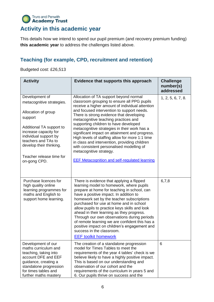#### **Truro and Penwith Academy Trust Activity in this academic year**

This details how we intend to spend our pupil premium (and recovery premium funding) **this academic year** to address the challenges listed above.

#### **Teaching (for example, CPD, recruitment and retention)**

Budgeted cost: £26,513

| <b>Activity</b>                                                                                                                                                                                                                                           | Evidence that supports this approach                                                                                                                                                                                                                                                                                                                                                                                                                                                                                                                                                                                                                      | <b>Challenge</b><br>number(s)<br>addressed |
|-----------------------------------------------------------------------------------------------------------------------------------------------------------------------------------------------------------------------------------------------------------|-----------------------------------------------------------------------------------------------------------------------------------------------------------------------------------------------------------------------------------------------------------------------------------------------------------------------------------------------------------------------------------------------------------------------------------------------------------------------------------------------------------------------------------------------------------------------------------------------------------------------------------------------------------|--------------------------------------------|
| Development of<br>metacognitive strategies.<br>Allocation of group<br>support<br>Additional TA support to<br>increase capacity for<br>individual support by<br>teachers and TAs to<br>develop their thinking.<br>Teacher release time for<br>on-gong CPD. | Allocation of TA support beyond normal<br>classroom grouping to ensure all PPG pupils<br>receive a higher amount of individual attention<br>and focused intervention to support needs.<br>There is strong evidence that developing<br>metacognitive teaching practices and<br>supporting children to have developed<br>metacognitive strategies in their work has a<br>significant impact on attainment and progress.<br>High levels of staffing allow for more 1:1 time<br>in class and intervention, providing children<br>with consistent personalised modelling of<br>metacognitive strategy.<br><b>EEF Metacognition and self-regulated learning</b> | 1, 2, 5, 6, 7, 8.                          |
| Purchase licences for<br>high quality online<br>learning programmes for<br>maths and English to<br>support home learning.                                                                                                                                 | There is evidence that applying a flipped<br>learning model to homework, where pupils<br>prepare at home for teaching in school, can<br>have a positive impact. In addition to<br>homework set by the teacher subscriptions<br>purchased for use at home and in school<br>allow pupils to practice keys skills and look<br>ahead in their learning as they progress.<br>Through our own observations during periods<br>of remote learning we are confident this has a<br>positive impact on children's engagement and<br>success in the classroom.<br><b>EEF toolkit homework</b>                                                                         | 6,7,8                                      |
| Development of our<br>maths curriculum and<br>teaching, taking into<br>account DFE and EEF<br>guidance, creating a<br>standalone progression<br>for times tables and<br>further maths mastery                                                             | The creation of a standalone progression<br>model for Times Tables to meet the<br>requirements of the year 4 tables' check is we<br>believe likely to have a highly positive impact.<br>This is based on our understanding and<br>observation of our cohort and the<br>requirements of the curriculum in years 5 and<br>6. Our pupils thrive on success and the                                                                                                                                                                                                                                                                                           | 6                                          |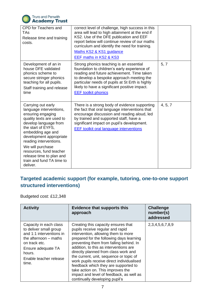

| <b>CPD</b> for Teachers and<br>TAs<br>Release time and training<br>costs.                                                                                                                                                                                                                                                                    | correct level of challenge, high success in this<br>area will lead to high attainment at the end if<br>KS2. Use of the DFE publication and EEF<br>report below will continue review of our maths<br>curriculum and identify the need for training.<br>Maths KS2 & KS1 guidance<br><b>EEF maths in KS2 &amp; KS3</b>  |         |
|----------------------------------------------------------------------------------------------------------------------------------------------------------------------------------------------------------------------------------------------------------------------------------------------------------------------------------------------|----------------------------------------------------------------------------------------------------------------------------------------------------------------------------------------------------------------------------------------------------------------------------------------------------------------------|---------|
| Development of an in<br>house DFE validated<br>phonics scheme to<br>secure stringer phonics<br>teaching for all pupils.<br>Staff training and release<br>time                                                                                                                                                                                | Strong phonics teaching is an essential<br>foundation to children's early experience of<br>reading and future achievement. Time taken<br>to develop a bespoke approach meeting the<br>particular needs of pupils at St Erth is highly<br>likely to have a significant positive impact.<br><b>EEF toolkit phonics</b> | 5, 7    |
| Carrying out early<br>language interventions,<br>ensuring engaging<br>quality texts are used to<br>develop language from<br>the start of EYFS.<br>embedding age and<br>development appropriate<br>reading interventions.<br>We will purchase<br>resources, fund teacher<br>release time to plan and<br>train and fund TA time to<br>deliver. | There is a strong body of evidence supporting<br>the fact that oral language interventions that<br>encourage discussion and reading aloud, led<br>by trained and supported staff, have a<br>significant impact on pupil's development.<br><b>EEF toolkit oral language interventions</b>                             | 4, 5, 7 |

#### **Targeted academic support (for example, tutoring, one-to-one support structured interventions)**

Budgeted cost: £12,348

| <b>Activity</b>                                                                                                                                                                           | <b>Evidence that supports this</b><br>approach                                                                                                                                                                                                                                                                                                                                                                                                                                                                                             | <b>Challenge</b><br>number(s)<br>addressed |
|-------------------------------------------------------------------------------------------------------------------------------------------------------------------------------------------|--------------------------------------------------------------------------------------------------------------------------------------------------------------------------------------------------------------------------------------------------------------------------------------------------------------------------------------------------------------------------------------------------------------------------------------------------------------------------------------------------------------------------------------------|--------------------------------------------|
| Capacity in each class<br>to deliver small group<br>and 1:1 interventions in<br>the afternoon – maths<br>on track etc.<br>Ensure adequate TA<br>hours.<br>Enable teacher release<br>time. | Creating this capacity ensures that<br>pupils receive regular and rapid<br>intervention, allowing them to more<br>prepared for the following days learning<br>preventing them from falling behind. In<br>addition, to this as interventions are<br>directly planned from class work and<br>the current, unit, sequence or topic of<br>work pupils receive direct individualised<br>feedback which they are supported to<br>take action on. This improves the<br>impact and level of feedback, as well as<br>continually developing pupil's | 2, 3, 4, 5, 6, 7, 8, 9                     |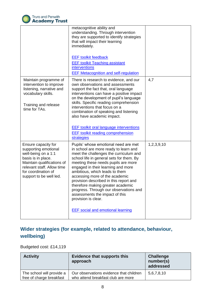

|                                                                                                                                                                                                        | metacognitive ability and<br>understanding. Through intervention<br>they are supported to identify strategies<br>that will impact their learning<br>immediately.<br><b>EEF toolkit feedback</b><br><b>EEF toolkit Teaching assistant</b><br>interventions<br><b>EEF Metacognition and self-regulation</b>                                                                                                                                                                                                                                          |            |
|--------------------------------------------------------------------------------------------------------------------------------------------------------------------------------------------------------|----------------------------------------------------------------------------------------------------------------------------------------------------------------------------------------------------------------------------------------------------------------------------------------------------------------------------------------------------------------------------------------------------------------------------------------------------------------------------------------------------------------------------------------------------|------------|
| Maintain programme of<br>intervention to improve<br>listening, narrative and<br>vocabulary skills.<br>Training and release<br>time for TAs.                                                            | There is research to evidence, and our<br>own observations and assessments<br>support the fact that, oral language<br>interventions can have a positive impact<br>on the development of pupil's language<br>skills. Specific reading comprehension<br>interventions that focus on a<br>combination of speaking and listening<br>also have academic impact.<br><b>EEF toolkit oral language interventions</b><br><b>EEF</b> toolkit reading comprehension<br><b>strategies</b>                                                                      | 4,7        |
| Ensure capacity for<br>supporting emotional<br>well-being on a 1:1<br>basis is in place.<br>Maintain qualifications of<br>relevant staff. Allow time<br>for coordination of<br>support to be well led. | Pupils' whose emotional need are met<br>in school are more ready to learn and<br>meet the challenges the curriculum and<br>school life in general sets for them. By<br>meeting these needs pupils are more<br>engaged in their learning and more<br>ambitious, which leads to them<br>accessing more of the academic<br>provision described in this report and<br>therefore making greater academic<br>progress. Through our observations and<br>assessments the impact of this<br>provision is clear.<br><b>EEF</b> social and emotional learning | 1,2,3,9,10 |

#### **Wider strategies (for example, related to attendance, behaviour, wellbeing)**

#### Budgeted cost: £14,119

| <b>Activity</b>                                       | <b>Evidence that supports this</b><br>approach                                | <b>Challenge</b><br>number(s)<br>addressed |
|-------------------------------------------------------|-------------------------------------------------------------------------------|--------------------------------------------|
| The school will provide a<br>free of charge breakfast | Our observations evidence that children<br>who attend breakfast club are more | 5,6,7,8,10                                 |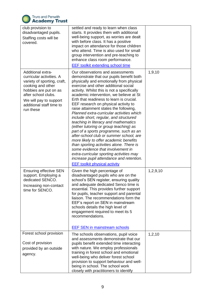

| club provision to<br>disadvantaged pupils.<br>Staffing costs will be<br>covered.                                                                                                                                            | settled and ready to learn when class<br>starts. It provides them with additional<br>well-being support, as worries are dealt<br>with before class. It has a positive<br>impact on attendance for those children<br>who attend. Time is also used for small<br>group intervention and pre-teaching to<br>enhance class room performance.<br><b>EEF toolkit extending school time</b>                                                                                                                                                                                                                                                                                                                                                                                                                                                                                                                              |          |
|-----------------------------------------------------------------------------------------------------------------------------------------------------------------------------------------------------------------------------|-------------------------------------------------------------------------------------------------------------------------------------------------------------------------------------------------------------------------------------------------------------------------------------------------------------------------------------------------------------------------------------------------------------------------------------------------------------------------------------------------------------------------------------------------------------------------------------------------------------------------------------------------------------------------------------------------------------------------------------------------------------------------------------------------------------------------------------------------------------------------------------------------------------------|----------|
| <b>Additional extra-</b><br>curricular activities. A<br>variety of sporting, craft,<br>cooking and other<br>hobbies are put on as<br>after school clubs.<br>We will pay to support<br>additional staff time to<br>run these | Our observations and assessments<br>demonstrate that our pupils benefit both<br>physically and emotionally from physical<br>exercise and other additional social<br>activity. Whilst this is not a specifically<br>academic intervention, we believe at St<br>Erth that readiness to learn is crucial.<br>EEF research on physical activity to<br>raise attainment states the following,<br>Planned extra-curricular activities which<br>include short, regular, and structured<br>teaching in literacy and mathematics<br>(either tutoring or group teaching) as<br>part of a sports programme, such as an<br>after-school club or summer school, are<br>more likely to offer academic benefits<br>than sporting activities alone. There is<br>some evidence that involvement in<br>extra-curricular sporting activities may<br>increase pupil attendance and retention.<br><b>EEF toolkit physical activity</b> | 1,9,10   |
| <b>Ensuring effective SEN</b><br>support. Employing a<br>dedicated SENCO.<br>Increasing non-contact<br>time for SENCO.                                                                                                      | Given the high percentage of<br>disadvantaged pupils who are on the<br>school's SEN register, ensuring quality<br>and adequate dedicated Senco time is<br>essential. This provides further support<br>for pupils, teacher support and parental<br>liaison. The recommendations form the<br>EEF's report on SEN in mainstream<br>schools details the high level of<br>engagement required to meet its 5<br>recommendations.<br><b>EEF SEN in mainstream schools</b>                                                                                                                                                                                                                                                                                                                                                                                                                                                | 1,2,9,10 |
| Forest school provision<br>Cost of provision<br>provided by an outside<br>agency.                                                                                                                                           | The schools observations, pupil voice<br>and assessments demonstrate that our<br>pupils benefit extended time interacting<br>with nature. We employ professionals<br>training in forest school and emotional<br>well-being who deliver forest school<br>provision to support behaviour and well-<br>being in school. The school work<br>closely with practitioners to identify                                                                                                                                                                                                                                                                                                                                                                                                                                                                                                                                    | 1, 2, 10 |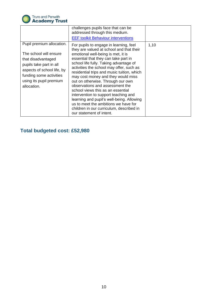

|                                                                                                                                                                                                         | challenges pupils face that can be<br>addressed through this medium.<br><b>EEF toolkit Behaviour interventions</b>                                                                                                                                                                                                                                                                                                                                                                                                                                                                                                                                           |      |
|---------------------------------------------------------------------------------------------------------------------------------------------------------------------------------------------------------|--------------------------------------------------------------------------------------------------------------------------------------------------------------------------------------------------------------------------------------------------------------------------------------------------------------------------------------------------------------------------------------------------------------------------------------------------------------------------------------------------------------------------------------------------------------------------------------------------------------------------------------------------------------|------|
| Pupil premium allocation.<br>The school will ensure<br>that disadvantaged<br>pupils take part in all<br>aspects of school life, by<br>funding some activities<br>using its pupil premium<br>allocation. | For pupils to engage in learning, feel<br>they are valued at school and that their<br>emotional well-being is met, it is<br>essential that they can take part in<br>school life fully. Taking advantage of<br>activities the school may offer, such as<br>residential trips and music tuition, which<br>may cost money and they would miss<br>out on otherwise. Through our own<br>observations and assessment the<br>school views this as an essential<br>intervention to support teaching and<br>learning and pupil's well-being. Allowing<br>us to meet the ambitions we have for<br>children in our curriculum, described in<br>our statement of intent. | 1,10 |

#### **Total budgeted cost: £52,980**